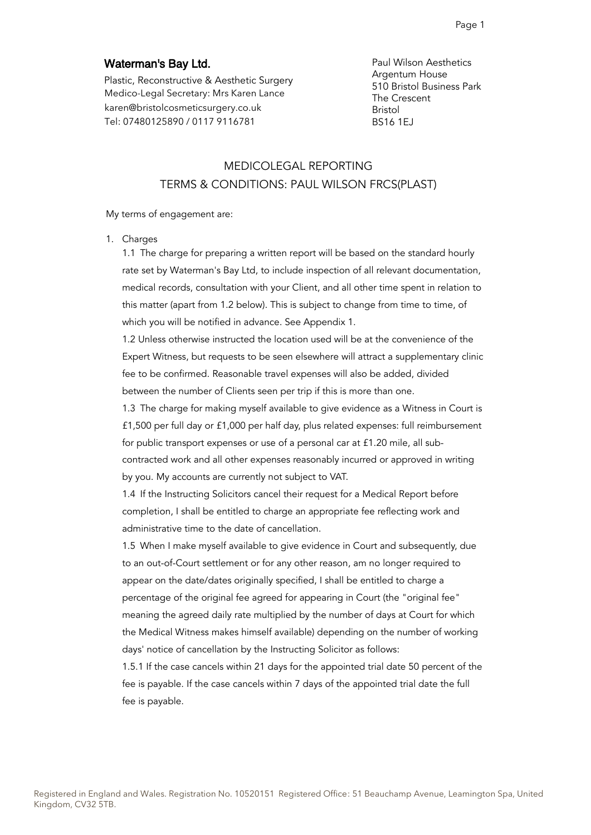# Waterman's Bay Ltd.

Plastic, Reconstructive & Aesthetic Surgery Medico-Legal Secretary: Mrs Karen Lance karen@bristolcosmeticsurgery.co.uk Tel: 07480125890 / 0117 9116781

Paul Wilson Aesthetics Argentum House 510 Bristol Business Park The Crescent Bristol BS16 1EJ

# MEDICOLEGAL REPORTING TERMS & CONDITIONS: PAUL WILSON FRCS(PLAST)

#### My terms of engagement are:

1. Charges

1.1 The charge for preparing a written report will be based on the standard hourly rate set by Waterman's Bay Ltd, to include inspection of all relevant documentation, medical records, consultation with your Client, and all other time spent in relation to this matter (apart from 1.2 below). This is subject to change from time to time, of which you will be notified in advance. See Appendix 1.

1.2 Unless otherwise instructed the location used will be at the convenience of the Expert Witness, but requests to be seen elsewhere will attract a supplementary clinic fee to be confirmed. Reasonable travel expenses will also be added, divided between the number of Clients seen per trip if this is more than one.

1.3 The charge for making myself available to give evidence as a Witness in Court is £1,500 per full day or £1,000 per half day, plus related expenses: full reimbursement for public transport expenses or use of a personal car at £1.20 mile, all subcontracted work and all other expenses reasonably incurred or approved in writing by you. My accounts are currently not subject to VAT.

1.4 If the Instructing Solicitors cancel their request for a Medical Report before completion, I shall be entitled to charge an appropriate fee reflecting work and administrative time to the date of cancellation.

1.5 When I make myself available to give evidence in Court and subsequently, due to an out-of-Court settlement or for any other reason, am no longer required to appear on the date/dates originally specified, I shall be entitled to charge a percentage of the original fee agreed for appearing in Court (the "original fee" meaning the agreed daily rate multiplied by the number of days at Court for which the Medical Witness makes himself available) depending on the number of working days' notice of cancellation by the Instructing Solicitor as follows:

1.5.1 If the case cancels within 21 days for the appointed trial date 50 percent of the fee is payable. If the case cancels within 7 days of the appointed trial date the full fee is payable.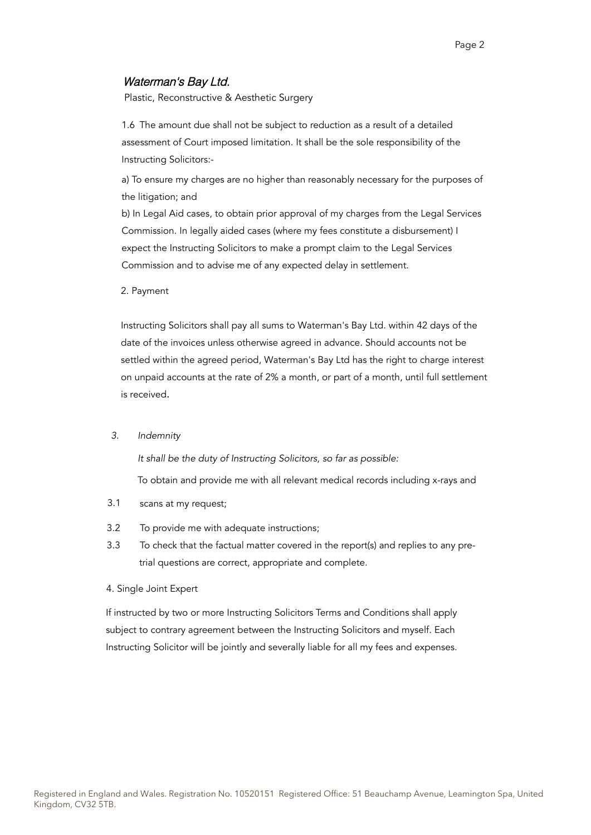# Waterman's Bay Ltd.

Plastic, Reconstructive & Aesthetic Surgery

1.6 The amount due shall not be subject to reduction as a result of a detailed assessment of Court imposed limitation. It shall be the sole responsibility of the Instructing Solicitors:-

a) To ensure my charges are no higher than reasonably necessary for the purposes of the litigation; and

b) In Legal Aid cases, to obtain prior approval of my charges from the Legal Services Commission. In legally aided cases (where my fees constitute a disbursement) I expect the Instructing Solicitors to make a prompt claim to the Legal Services Commission and to advise me of any expected delay in settlement.

2. Payment

Instructing Solicitors shall pay all sums to Waterman's Bay Ltd. within 42 days of the date of the invoices unless otherwise agreed in advance. Should accounts not be settled within the agreed period, Waterman's Bay Ltd has the right to charge interest on unpaid accounts at the rate of 2% a month, or part of a month, until full settlement is received.

### 3. Indemnity

It shall be the duty of Instructing Solicitors, so far as possible:

To obtain and provide me with all relevant medical records including x-rays and

- 3.1 scans at my request;
- 3.2 To provide me with adequate instructions;
- 3.3 To check that the factual matter covered in the report(s) and replies to any pretrial questions are correct, appropriate and complete.
- 4. Single Joint Expert

If instructed by two or more Instructing Solicitors Terms and Conditions shall apply subject to contrary agreement between the Instructing Solicitors and myself. Each Instructing Solicitor will be jointly and severally liable for all my fees and expenses.